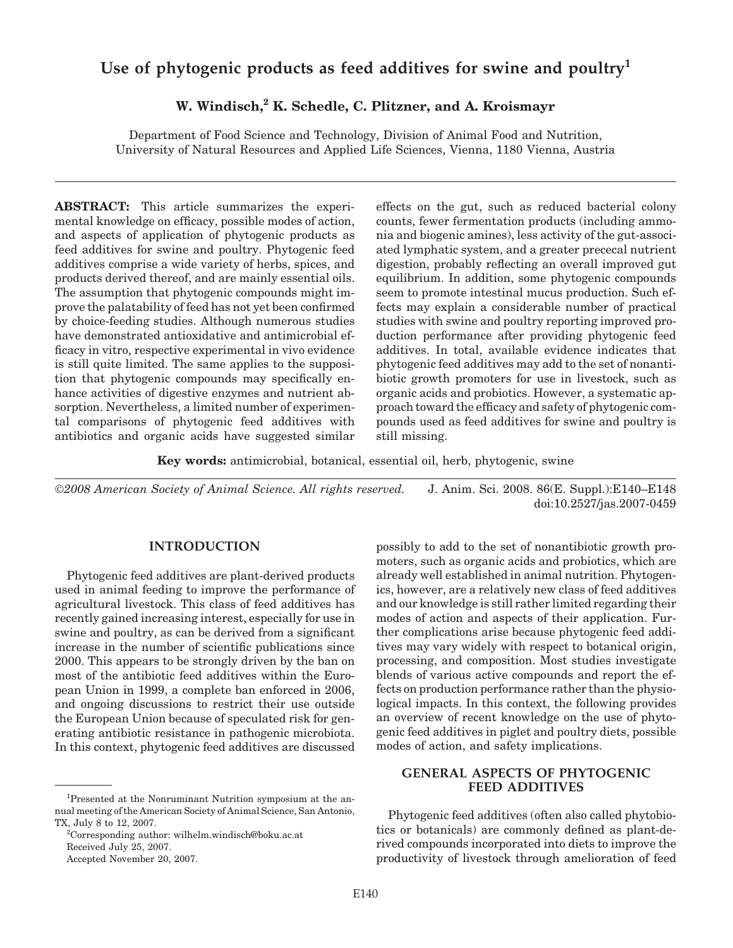# **Use of phytogenic products as feed additives for swine and poultry1**

# **W. Windisch,2 K. Schedle, C. Plitzner, and A. Kroismayr**

Department of Food Science and Technology, Division of Animal Food and Nutrition, University of Natural Resources and Applied Life Sciences, Vienna, 1180 Vienna, Austria

**ABSTRACT:** This article summarizes the experimental knowledge on efficacy, possible modes of action, and aspects of application of phytogenic products as feed additives for swine and poultry. Phytogenic feed additives comprise a wide variety of herbs, spices, and products derived thereof, and are mainly essential oils. The assumption that phytogenic compounds might improve the palatability of feed has not yet been confirmed by choice-feeding studies. Although numerous studies have demonstrated antioxidative and antimicrobial efficacy in vitro, respective experimental in vivo evidence is still quite limited. The same applies to the supposition that phytogenic compounds may specifically enhance activities of digestive enzymes and nutrient absorption. Nevertheless, a limited number of experimental comparisons of phytogenic feed additives with antibiotics and organic acids have suggested similar effects on the gut, such as reduced bacterial colony counts, fewer fermentation products (including ammonia and biogenic amines), less activity of the gut-associated lymphatic system, and a greater prececal nutrient digestion, probably reflecting an overall improved gut equilibrium. In addition, some phytogenic compounds seem to promote intestinal mucus production. Such effects may explain a considerable number of practical studies with swine and poultry reporting improved production performance after providing phytogenic feed additives. In total, available evidence indicates that phytogenic feed additives may add to the set of nonantibiotic growth promoters for use in livestock, such as organic acids and probiotics. However, a systematic approach toward the efficacy and safety of phytogenic compounds used as feed additives for swine and poultry is still missing.

**Key words:** antimicrobial, botanical, essential oil, herb, phytogenic, swine

©*2008 American Society of Animal Science. All rights reserved.* J. Anim. Sci. 2008. 86(E. Suppl.):E140–E148 doi:10.2527/jas.2007-0459

# **INTRODUCTION**

Phytogenic feed additives are plant-derived products used in animal feeding to improve the performance of agricultural livestock. This class of feed additives has recently gained increasing interest, especially for use in swine and poultry, as can be derived from a significant increase in the number of scientific publications since 2000. This appears to be strongly driven by the ban on most of the antibiotic feed additives within the European Union in 1999, a complete ban enforced in 2006, and ongoing discussions to restrict their use outside the European Union because of speculated risk for generating antibiotic resistance in pathogenic microbiota. In this context, phytogenic feed additives are discussed

possibly to add to the set of nonantibiotic growth promoters, such as organic acids and probiotics, which are already well established in animal nutrition. Phytogenics, however, are a relatively new class of feed additives and our knowledge is still rather limited regarding their modes of action and aspects of their application. Further complications arise because phytogenic feed additives may vary widely with respect to botanical origin, processing, and composition. Most studies investigate blends of various active compounds and report the effects on production performance rather than the physiological impacts. In this context, the following provides an overview of recent knowledge on the use of phytogenic feed additives in piglet and poultry diets, possible modes of action, and safety implications.

# **GENERAL ASPECTS OF PHYTOGENIC FEED ADDITIVES**

Phytogenic feed additives (often also called phytobiotics or botanicals) are commonly defined as plant-derived compounds incorporated into diets to improve the productivity of livestock through amelioration of feed

<sup>&</sup>lt;sup>1</sup>Presented at the Nonruminant Nutrition symposium at the annual meeting of the American Society of Animal Science, San Antonio, TX, July 8 to 12, 2007.

<sup>2</sup> Corresponding author: wilhelm.windisch@boku.ac.at Received July 25, 2007.

Accepted November 20, 2007.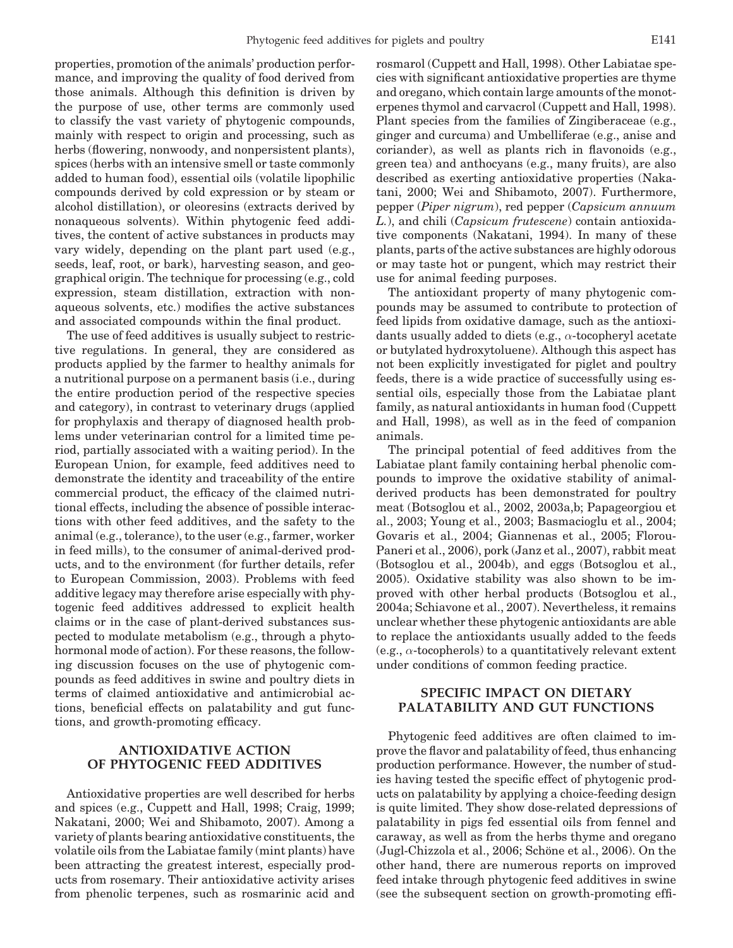properties, promotion of the animals' production performance, and improving the quality of food derived from those animals. Although this definition is driven by the purpose of use, other terms are commonly used to classify the vast variety of phytogenic compounds, mainly with respect to origin and processing, such as herbs (flowering, nonwoody, and nonpersistent plants), spices (herbs with an intensive smell or taste commonly added to human food), essential oils (volatile lipophilic compounds derived by cold expression or by steam or alcohol distillation), or oleoresins (extracts derived by nonaqueous solvents). Within phytogenic feed additives, the content of active substances in products may vary widely, depending on the plant part used (e.g., seeds, leaf, root, or bark), harvesting season, and geographical origin. The technique for processing (e.g., cold expression, steam distillation, extraction with nonaqueous solvents, etc.) modifies the active substances and associated compounds within the final product.

The use of feed additives is usually subject to restrictive regulations. In general, they are considered as products applied by the farmer to healthy animals for a nutritional purpose on a permanent basis (i.e., during the entire production period of the respective species and category), in contrast to veterinary drugs (applied for prophylaxis and therapy of diagnosed health problems under veterinarian control for a limited time period, partially associated with a waiting period). In the European Union, for example, feed additives need to demonstrate the identity and traceability of the entire commercial product, the efficacy of the claimed nutritional effects, including the absence of possible interactions with other feed additives, and the safety to the animal (e.g., tolerance), to the user (e.g., farmer, worker in feed mills), to the consumer of animal-derived products, and to the environment (for further details, refer to European Commission, 2003). Problems with feed additive legacy may therefore arise especially with phytogenic feed additives addressed to explicit health claims or in the case of plant-derived substances suspected to modulate metabolism (e.g., through a phytohormonal mode of action). For these reasons, the following discussion focuses on the use of phytogenic compounds as feed additives in swine and poultry diets in terms of claimed antioxidative and antimicrobial actions, beneficial effects on palatability and gut functions, and growth-promoting efficacy.

# **ANTIOXIDATIVE ACTION OF PHYTOGENIC FEED ADDITIVES**

Antioxidative properties are well described for herbs and spices (e.g., Cuppett and Hall, 1998; Craig, 1999; Nakatani, 2000; Wei and Shibamoto, 2007). Among a variety of plants bearing antioxidative constituents, the volatile oils from the Labiatae family (mint plants) have been attracting the greatest interest, especially products from rosemary. Their antioxidative activity arises from phenolic terpenes, such as rosmarinic acid and

rosmarol (Cuppett and Hall, 1998). Other Labiatae species with significant antioxidative properties are thyme and oregano, which contain large amounts of the monoterpenes thymol and carvacrol (Cuppett and Hall, 1998). Plant species from the families of Zingiberaceae (e.g., ginger and curcuma) and Umbelliferae (e.g., anise and coriander), as well as plants rich in flavonoids (e.g., green tea) and anthocyans (e.g., many fruits), are also described as exerting antioxidative properties (Nakatani, 2000; Wei and Shibamoto, 2007). Furthermore, pepper (*Piper nigrum*), red pepper (*Capsicum annuum L.*), and chili (*Capsicum frutescene*) contain antioxidative components (Nakatani, 1994). In many of these plants, parts of the active substances are highly odorous or may taste hot or pungent, which may restrict their use for animal feeding purposes.

The antioxidant property of many phytogenic compounds may be assumed to contribute to protection of feed lipids from oxidative damage, such as the antioxidants usually added to diets (e.g.,  $\alpha$ -tocopheryl acetate or butylated hydroxytoluene). Although this aspect has not been explicitly investigated for piglet and poultry feeds, there is a wide practice of successfully using essential oils, especially those from the Labiatae plant family, as natural antioxidants in human food (Cuppett and Hall, 1998), as well as in the feed of companion animals.

The principal potential of feed additives from the Labiatae plant family containing herbal phenolic compounds to improve the oxidative stability of animalderived products has been demonstrated for poultry meat (Botsoglou et al., 2002, 2003a,b; Papageorgiou et al., 2003; Young et al., 2003; Basmacioglu et al., 2004; Govaris et al., 2004; Giannenas et al., 2005; Florou-Paneri et al., 2006), pork (Janz et al., 2007), rabbit meat (Botsoglou et al., 2004b), and eggs (Botsoglou et al., 2005). Oxidative stability was also shown to be improved with other herbal products (Botsoglou et al., 2004a; Schiavone et al., 2007). Nevertheless, it remains unclear whether these phytogenic antioxidants are able to replace the antioxidants usually added to the feeds (e.g.,  $\alpha$ -tocopherols) to a quantitatively relevant extent under conditions of common feeding practice.

## **SPECIFIC IMPACT ON DIETARY PALATABILITY AND GUT FUNCTIONS**

Phytogenic feed additives are often claimed to improve the flavor and palatability of feed, thus enhancing production performance. However, the number of studies having tested the specific effect of phytogenic products on palatability by applying a choice-feeding design is quite limited. They show dose-related depressions of palatability in pigs fed essential oils from fennel and caraway, as well as from the herbs thyme and oregano (Jugl-Chizzola et al., 2006; Schöne et al., 2006). On the other hand, there are numerous reports on improved feed intake through phytogenic feed additives in swine (see the subsequent section on growth-promoting effi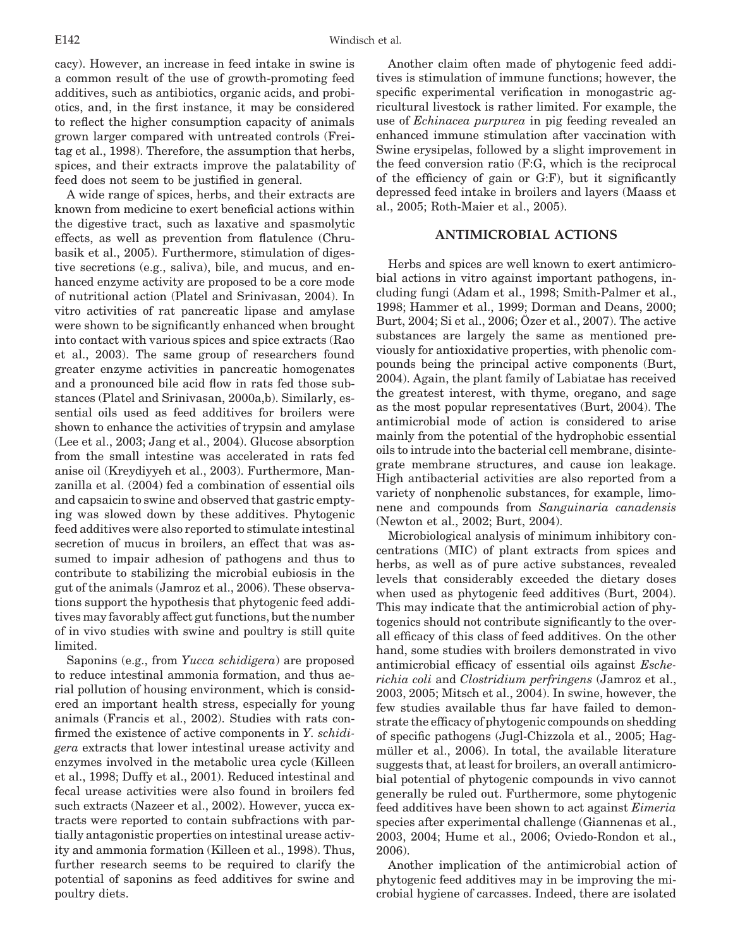cacy). However, an increase in feed intake in swine is a common result of the use of growth-promoting feed additives, such as antibiotics, organic acids, and probiotics, and, in the first instance, it may be considered to reflect the higher consumption capacity of animals grown larger compared with untreated controls (Freitag et al., 1998). Therefore, the assumption that herbs, spices, and their extracts improve the palatability of feed does not seem to be justified in general.

A wide range of spices, herbs, and their extracts are known from medicine to exert beneficial actions within the digestive tract, such as laxative and spasmolytic effects, as well as prevention from flatulence (Chrubasik et al., 2005). Furthermore, stimulation of digestive secretions (e.g., saliva), bile, and mucus, and enhanced enzyme activity are proposed to be a core mode of nutritional action (Platel and Srinivasan, 2004). In vitro activities of rat pancreatic lipase and amylase were shown to be significantly enhanced when brought into contact with various spices and spice extracts (Rao et al., 2003). The same group of researchers found greater enzyme activities in pancreatic homogenates and a pronounced bile acid flow in rats fed those substances (Platel and Srinivasan, 2000a,b). Similarly, essential oils used as feed additives for broilers were shown to enhance the activities of trypsin and amylase (Lee et al., 2003; Jang et al., 2004). Glucose absorption from the small intestine was accelerated in rats fed anise oil (Kreydiyyeh et al., 2003). Furthermore, Manzanilla et al. (2004) fed a combination of essential oils and capsaicin to swine and observed that gastric emptying was slowed down by these additives. Phytogenic feed additives were also reported to stimulate intestinal secretion of mucus in broilers, an effect that was assumed to impair adhesion of pathogens and thus to contribute to stabilizing the microbial eubiosis in the gut of the animals (Jamroz et al., 2006). These observations support the hypothesis that phytogenic feed additives may favorably affect gut functions, but the number of in vivo studies with swine and poultry is still quite limited.

Saponins (e.g., from *Yucca schidigera*) are proposed to reduce intestinal ammonia formation, and thus aerial pollution of housing environment, which is considered an important health stress, especially for young animals (Francis et al., 2002). Studies with rats confirmed the existence of active components in *Y. schidigera* extracts that lower intestinal urease activity and enzymes involved in the metabolic urea cycle (Killeen et al., 1998; Duffy et al., 2001). Reduced intestinal and fecal urease activities were also found in broilers fed such extracts (Nazeer et al., 2002). However, yucca extracts were reported to contain subfractions with partially antagonistic properties on intestinal urease activity and ammonia formation (Killeen et al., 1998). Thus, further research seems to be required to clarify the potential of saponins as feed additives for swine and poultry diets.

Another claim often made of phytogenic feed additives is stimulation of immune functions; however, the specific experimental verification in monogastric agricultural livestock is rather limited. For example, the use of *Echinacea purpurea* in pig feeding revealed an enhanced immune stimulation after vaccination with Swine erysipelas, followed by a slight improvement in the feed conversion ratio (F:G, which is the reciprocal of the efficiency of gain or G:F), but it significantly depressed feed intake in broilers and layers (Maass et al., 2005; Roth-Maier et al., 2005).

#### **ANTIMICROBIAL ACTIONS**

Herbs and spices are well known to exert antimicrobial actions in vitro against important pathogens, including fungi (Adam et al., 1998; Smith-Palmer et al., 1998; Hammer et al., 1999; Dorman and Deans, 2000; Burt, 2004; Si et al., 2006; Özer et al., 2007). The active substances are largely the same as mentioned previously for antioxidative properties, with phenolic compounds being the principal active components (Burt, 2004). Again, the plant family of Labiatae has received the greatest interest, with thyme, oregano, and sage as the most popular representatives (Burt, 2004). The antimicrobial mode of action is considered to arise mainly from the potential of the hydrophobic essential oils to intrude into the bacterial cell membrane, disintegrate membrane structures, and cause ion leakage. High antibacterial activities are also reported from a variety of nonphenolic substances, for example, limonene and compounds from *Sanguinaria canadensis* (Newton et al., 2002; Burt, 2004).

Microbiological analysis of minimum inhibitory concentrations (MIC) of plant extracts from spices and herbs, as well as of pure active substances, revealed levels that considerably exceeded the dietary doses when used as phytogenic feed additives (Burt, 2004). This may indicate that the antimicrobial action of phytogenics should not contribute significantly to the overall efficacy of this class of feed additives. On the other hand, some studies with broilers demonstrated in vivo antimicrobial efficacy of essential oils against *Escherichia coli* and *Clostridium perfringens* (Jamroz et al., 2003, 2005; Mitsch et al., 2004). In swine, however, the few studies available thus far have failed to demonstrate the efficacy of phytogenic compounds on shedding of specific pathogens (Jugl-Chizzola et al., 2005; Hagmüller et al., 2006). In total, the available literature suggests that, at least for broilers, an overall antimicrobial potential of phytogenic compounds in vivo cannot generally be ruled out. Furthermore, some phytogenic feed additives have been shown to act against *Eimeria* species after experimental challenge (Giannenas et al., 2003, 2004; Hume et al., 2006; Oviedo-Rondon et al., 2006).

Another implication of the antimicrobial action of phytogenic feed additives may in be improving the microbial hygiene of carcasses. Indeed, there are isolated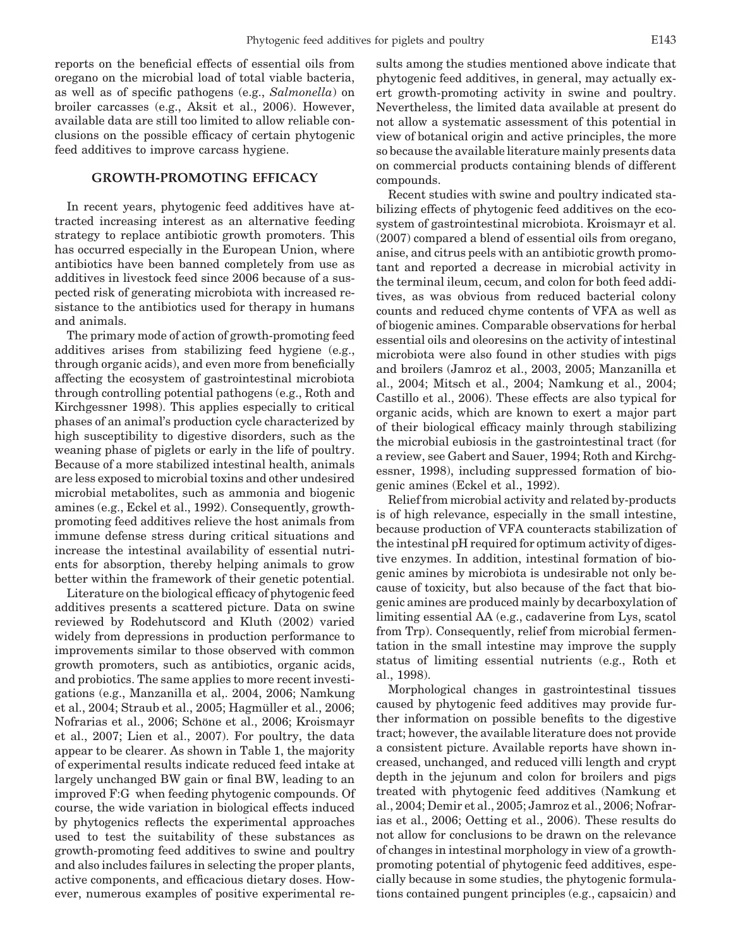reports on the beneficial effects of essential oils from oregano on the microbial load of total viable bacteria, as well as of specific pathogens (e.g., *Salmonella*) on broiler carcasses (e.g., Aksit et al., 2006). However, available data are still too limited to allow reliable conclusions on the possible efficacy of certain phytogenic feed additives to improve carcass hygiene.

#### **GROWTH-PROMOTING EFFICACY**

In recent years, phytogenic feed additives have attracted increasing interest as an alternative feeding strategy to replace antibiotic growth promoters. This has occurred especially in the European Union, where antibiotics have been banned completely from use as additives in livestock feed since 2006 because of a suspected risk of generating microbiota with increased resistance to the antibiotics used for therapy in humans and animals.

The primary mode of action of growth-promoting feed additives arises from stabilizing feed hygiene (e.g., through organic acids), and even more from beneficially affecting the ecosystem of gastrointestinal microbiota through controlling potential pathogens (e.g., Roth and Kirchgessner 1998). This applies especially to critical phases of an animal's production cycle characterized by high susceptibility to digestive disorders, such as the weaning phase of piglets or early in the life of poultry. Because of a more stabilized intestinal health, animals are less exposed to microbial toxins and other undesired microbial metabolites, such as ammonia and biogenic amines (e.g., Eckel et al., 1992). Consequently, growthpromoting feed additives relieve the host animals from immune defense stress during critical situations and increase the intestinal availability of essential nutrients for absorption, thereby helping animals to grow better within the framework of their genetic potential.

Literature on the biological efficacy of phytogenic feed additives presents a scattered picture. Data on swine reviewed by Rodehutscord and Kluth (2002) varied widely from depressions in production performance to improvements similar to those observed with common growth promoters, such as antibiotics, organic acids, and probiotics. The same applies to more recent investigations (e.g., Manzanilla et al,. 2004, 2006; Namkung et al., 2004; Straub et al., 2005; Hagmüller et al., 2006; Nofrarias et al., 2006; Schöne et al., 2006; Kroismayr et al., 2007; Lien et al., 2007). For poultry, the data appear to be clearer. As shown in Table 1, the majority of experimental results indicate reduced feed intake at largely unchanged BW gain or final BW, leading to an improved F:G when feeding phytogenic compounds. Of course, the wide variation in biological effects induced by phytogenics reflects the experimental approaches used to test the suitability of these substances as growth-promoting feed additives to swine and poultry and also includes failures in selecting the proper plants, active components, and efficacious dietary doses. However, numerous examples of positive experimental results among the studies mentioned above indicate that phytogenic feed additives, in general, may actually exert growth-promoting activity in swine and poultry. Nevertheless, the limited data available at present do not allow a systematic assessment of this potential in view of botanical origin and active principles, the more so because the available literature mainly presents data on commercial products containing blends of different compounds.

Recent studies with swine and poultry indicated stabilizing effects of phytogenic feed additives on the ecosystem of gastrointestinal microbiota. Kroismayr et al. (2007) compared a blend of essential oils from oregano, anise, and citrus peels with an antibiotic growth promotant and reported a decrease in microbial activity in the terminal ileum, cecum, and colon for both feed additives, as was obvious from reduced bacterial colony counts and reduced chyme contents of VFA as well as of biogenic amines. Comparable observations for herbal essential oils and oleoresins on the activity of intestinal microbiota were also found in other studies with pigs and broilers (Jamroz et al., 2003, 2005; Manzanilla et al., 2004; Mitsch et al., 2004; Namkung et al., 2004; Castillo et al., 2006). These effects are also typical for organic acids, which are known to exert a major part of their biological efficacy mainly through stabilizing the microbial eubiosis in the gastrointestinal tract (for a review, see Gabert and Sauer, 1994; Roth and Kirchgessner, 1998), including suppressed formation of biogenic amines (Eckel et al., 1992).

Relief from microbial activity and related by-products is of high relevance, especially in the small intestine, because production of VFA counteracts stabilization of the intestinal pH required for optimum activity of digestive enzymes. In addition, intestinal formation of biogenic amines by microbiota is undesirable not only because of toxicity, but also because of the fact that biogenic amines are produced mainly by decarboxylation of limiting essential AA (e.g., cadaverine from Lys, scatol from Trp). Consequently, relief from microbial fermentation in the small intestine may improve the supply status of limiting essential nutrients (e.g., Roth et al., 1998).

Morphological changes in gastrointestinal tissues caused by phytogenic feed additives may provide further information on possible benefits to the digestive tract; however, the available literature does not provide a consistent picture. Available reports have shown increased, unchanged, and reduced villi length and crypt depth in the jejunum and colon for broilers and pigs treated with phytogenic feed additives (Namkung et al., 2004; Demir et al., 2005; Jamroz et al., 2006; Nofrarias et al., 2006; Oetting et al., 2006). These results do not allow for conclusions to be drawn on the relevance of changes in intestinal morphology in view of a growthpromoting potential of phytogenic feed additives, especially because in some studies, the phytogenic formulations contained pungent principles (e.g., capsaicin) and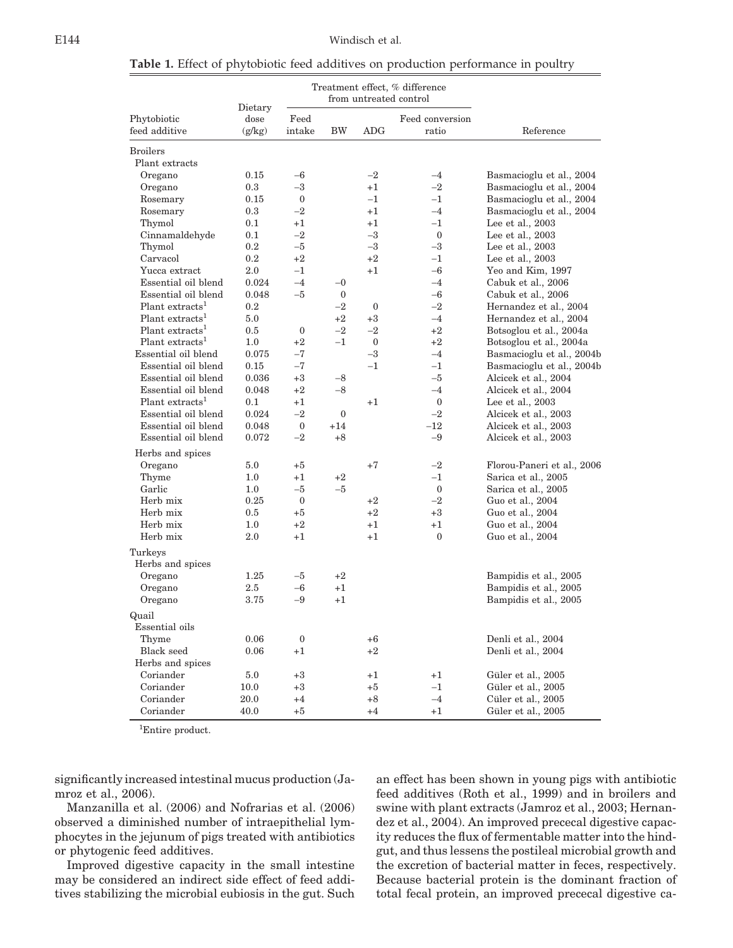**Table 1.** Effect of phytobiotic feed additives on production performance in poultry

|                              | Dietary<br>dose<br>(g/kg) | Treatment effect, % difference<br>from untreated control |                  |                 |                          |                                                      |
|------------------------------|---------------------------|----------------------------------------------------------|------------------|-----------------|--------------------------|------------------------------------------------------|
| Phytobiotic<br>feed additive |                           | Feed<br>intake                                           | <b>BW</b>        | <b>ADG</b>      | Feed conversion<br>ratio | Reference                                            |
| <b>Broilers</b>              |                           |                                                          |                  |                 |                          |                                                      |
| Plant extracts               |                           |                                                          |                  |                 |                          |                                                      |
| Oregano                      | 0.15                      | $-6$                                                     |                  | $-2$            | $-4$<br>$-2$             | Basmacioglu et al., 2004                             |
| Oregano<br>Rosemary          | $0.3\,$<br>0.15           | $-3$<br>$\boldsymbol{0}$                                 |                  | $+1$<br>$^{-1}$ | $-1$                     | Basmacioglu et al., 2004<br>Basmacioglu et al., 2004 |
| Rosemary                     | 0.3                       | $-2$                                                     |                  | $+1$            | $-4$                     | Basmacioglu et al., 2004                             |
| Thymol                       | 0.1                       | $+1$                                                     |                  | $+1$            | $^{-1}$                  | Lee et al., 2003                                     |
| Cinnamaldehyde               | 0.1                       | $-2$                                                     |                  | $-3$            | $\mathbf{0}$             | Lee et al., 2003                                     |
| Thymol                       | $0.2\,$                   | $-5$                                                     |                  | $-3$            | $-3$                     | Lee et al., 2003                                     |
| Carvacol                     | $0.2\,$                   | $+2$                                                     |                  | $+2$            | $-1$                     | Lee et al., 2003                                     |
| Yucca extract                | 2.0                       | $^{-1}$                                                  |                  | $^{+1}$         | $-6$                     | Yeo and Kim, 1997                                    |
| Essential oil blend          | 0.024                     | $-4$                                                     | $-0$             |                 | $-4$                     | Cabuk et al., 2006                                   |
| Essential oil blend          | 0.048                     | $-5$                                                     | $\boldsymbol{0}$ |                 | $-6$                     | Cabuk et al., 2006                                   |
| Plant extracts <sup>1</sup>  | 0.2                       |                                                          | $-2$             | 0               | $-2$                     | Hernandez et al., 2004                               |
| Plant extracts <sup>1</sup>  | 5.0                       |                                                          | $+2$             | $+3$            | $-4$                     | Hernandez et al., 2004                               |
| Plant extracts <sup>1</sup>  | 0.5                       | $\boldsymbol{0}$                                         | $-2$             | $-2$            | $+2$                     | Botsoglou et al., 2004a                              |
| Plant extracts <sup>1</sup>  | 1.0                       | $+2$                                                     | $-1$             | $\mathbf{0}$    | $+2$                     | Botsoglou et al., 2004a                              |
| Essential oil blend          | 0.075                     | $-7$                                                     |                  | $-3$            | $-4$                     | Basmacioglu et al., 2004b                            |
| Essential oil blend          | 0.15                      | $-7$                                                     |                  | $-1$            | $-1$                     | Basmacioglu et al., 2004b                            |
| Essential oil blend          | 0.036                     | $+3$                                                     | $-8$             |                 | $-5$                     | Alcicek et al., 2004                                 |
| Essential oil blend          | 0.048                     | $+2$                                                     | $-8$             |                 | $-4$                     | Alcicek et al., 2004                                 |
| Plant extracts <sup>1</sup>  | 0.1                       | $+1$                                                     |                  | $+1$            | $\boldsymbol{0}$         | Lee et al., 2003                                     |
| Essential oil blend          | 0.024                     | $-2$                                                     | $\bf{0}$         |                 | $^{-2}$                  | Alcicek et al., 2003                                 |
| Essential oil blend          | 0.048                     | $\boldsymbol{0}$                                         | $+14$            |                 | $-12$                    | Alcicek et al., 2003                                 |
| Essential oil blend          | 0.072                     | $-2$                                                     | $+8$             |                 | $-9$                     | Alcicek et al., 2003                                 |
| Herbs and spices             |                           |                                                          |                  |                 |                          |                                                      |
| Oregano                      | 5.0                       | $+5$                                                     |                  | $+7$            | $-2$                     | Florou-Paneri et al., 2006                           |
| Thyme                        | $1.0\,$                   | $+1$                                                     | $+2$             |                 | $^{-1}$                  | Sarica et al., 2005                                  |
| Garlic                       | $1.0\,$                   | $-5$                                                     | $-5$             |                 | $\boldsymbol{0}$         | Sarica et al., 2005                                  |
| Herb mix                     | 0.25                      | $\boldsymbol{0}$                                         |                  | $+2$            | $-2$                     | Guo et al., 2004                                     |
| Herb mix                     | 0.5                       | $\rm +5$                                                 |                  | $+2$            | $+3$                     | Guo et al., 2004                                     |
| Herb mix                     | $1.0\,$                   | $+2$                                                     |                  | $^{+1}$         | $+1$                     | Guo et al., 2004                                     |
| Herb mix                     | $2.0\,$                   | $+1$                                                     |                  | $^{+1}$         | $\mathbf{0}$             | Guo et al., 2004                                     |
| Turkeys                      |                           |                                                          |                  |                 |                          |                                                      |
| Herbs and spices<br>Oregano  | 1.25                      |                                                          | $+2$             |                 |                          |                                                      |
| Oregano                      | 2.5                       | $-5$<br>$-6$                                             | $+1$             |                 |                          | Bampidis et al., 2005<br>Bampidis et al., 2005       |
| Oregano                      | 3.75                      | $-9$                                                     | $+1$             |                 |                          | Bampidis et al., 2005                                |
|                              |                           |                                                          |                  |                 |                          |                                                      |
| Quail<br>Essential oils      |                           |                                                          |                  |                 |                          |                                                      |
|                              |                           |                                                          |                  |                 |                          |                                                      |
| Thyme                        | 0.06                      | $\boldsymbol{0}$                                         |                  | $+6$            |                          | Denli et al., 2004                                   |
| Black seed                   | 0.06                      | $+1$                                                     |                  | $+2$            |                          | Denli et al., 2004                                   |
| Herbs and spices             |                           |                                                          |                  |                 |                          |                                                      |
| Coriander<br>Coriander       | 5.0                       | +3                                                       |                  | $^{+1}$         | $^{+1}$                  | Güler et al., 2005                                   |
| Coriander                    | 10.0                      | +3                                                       |                  | $+5$<br>$+8$    | $-1$<br>$-4$             | Güler et al., 2005<br>Cüler et al., 2005             |
| Coriander                    | 20.0<br>40.0              | $+4$<br>$+5$                                             |                  | $+4$            | $+1$                     | Güler et al., 2005                                   |

1 Entire product.

significantly increased intestinal mucus production (Jamroz et al., 2006).

Manzanilla et al. (2006) and Nofrarias et al. (2006) observed a diminished number of intraepithelial lymphocytes in the jejunum of pigs treated with antibiotics or phytogenic feed additives.

Improved digestive capacity in the small intestine may be considered an indirect side effect of feed additives stabilizing the microbial eubiosis in the gut. Such an effect has been shown in young pigs with antibiotic feed additives (Roth et al., 1999) and in broilers and swine with plant extracts (Jamroz et al., 2003; Hernandez et al., 2004). An improved prececal digestive capacity reduces the flux of fermentable matter into the hindgut, and thus lessens the postileal microbial growth and the excretion of bacterial matter in feces, respectively. Because bacterial protein is the dominant fraction of total fecal protein, an improved prececal digestive ca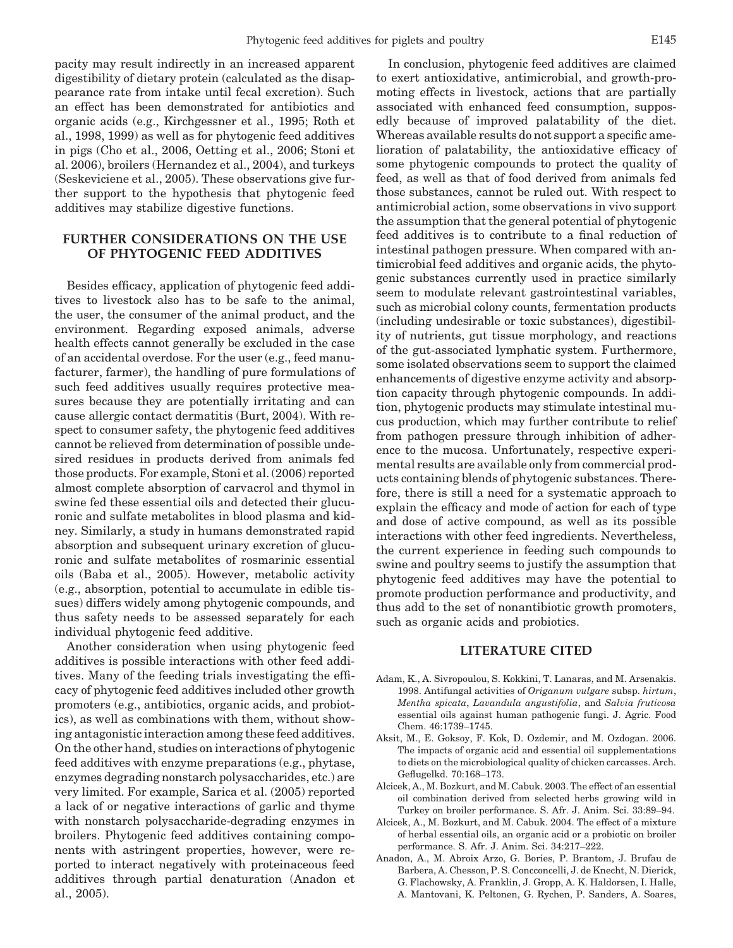pacity may result indirectly in an increased apparent digestibility of dietary protein (calculated as the disappearance rate from intake until fecal excretion). Such an effect has been demonstrated for antibiotics and organic acids (e.g., Kirchgessner et al., 1995; Roth et al., 1998, 1999) as well as for phytogenic feed additives in pigs (Cho et al., 2006, Oetting et al., 2006; Stoni et al. 2006), broilers (Hernandez et al., 2004), and turkeys (Seskeviciene et al., 2005). These observations give further support to the hypothesis that phytogenic feed additives may stabilize digestive functions.

# **FURTHER CONSIDERATIONS ON THE USE OF PHYTOGENIC FEED ADDITIVES**

Besides efficacy, application of phytogenic feed additives to livestock also has to be safe to the animal, the user, the consumer of the animal product, and the environment. Regarding exposed animals, adverse health effects cannot generally be excluded in the case of an accidental overdose. For the user (e.g., feed manufacturer, farmer), the handling of pure formulations of such feed additives usually requires protective measures because they are potentially irritating and can cause allergic contact dermatitis (Burt, 2004). With respect to consumer safety, the phytogenic feed additives cannot be relieved from determination of possible undesired residues in products derived from animals fed those products. For example, Stoni et al. (2006) reported almost complete absorption of carvacrol and thymol in swine fed these essential oils and detected their glucuronic and sulfate metabolites in blood plasma and kidney. Similarly, a study in humans demonstrated rapid absorption and subsequent urinary excretion of glucuronic and sulfate metabolites of rosmarinic essential oils (Baba et al., 2005). However, metabolic activity (e.g., absorption, potential to accumulate in edible tissues) differs widely among phytogenic compounds, and thus safety needs to be assessed separately for each individual phytogenic feed additive.

Another consideration when using phytogenic feed additives is possible interactions with other feed additives. Many of the feeding trials investigating the efficacy of phytogenic feed additives included other growth promoters (e.g., antibiotics, organic acids, and probiotics), as well as combinations with them, without showing antagonistic interaction among these feed additives. On the other hand, studies on interactions of phytogenic feed additives with enzyme preparations (e.g., phytase, enzymes degrading nonstarch polysaccharides, etc.) are very limited. For example, Sarica et al. (2005) reported a lack of or negative interactions of garlic and thyme with nonstarch polysaccharide-degrading enzymes in broilers. Phytogenic feed additives containing components with astringent properties, however, were reported to interact negatively with proteinaceous feed additives through partial denaturation (Anadon et al., 2005).

In conclusion, phytogenic feed additives are claimed to exert antioxidative, antimicrobial, and growth-promoting effects in livestock, actions that are partially associated with enhanced feed consumption, supposedly because of improved palatability of the diet. Whereas available results do not support a specific amelioration of palatability, the antioxidative efficacy of some phytogenic compounds to protect the quality of feed, as well as that of food derived from animals fed those substances, cannot be ruled out. With respect to antimicrobial action, some observations in vivo support the assumption that the general potential of phytogenic feed additives is to contribute to a final reduction of intestinal pathogen pressure. When compared with antimicrobial feed additives and organic acids, the phytogenic substances currently used in practice similarly seem to modulate relevant gastrointestinal variables, such as microbial colony counts, fermentation products (including undesirable or toxic substances), digestibility of nutrients, gut tissue morphology, and reactions of the gut-associated lymphatic system. Furthermore, some isolated observations seem to support the claimed enhancements of digestive enzyme activity and absorption capacity through phytogenic compounds. In addition, phytogenic products may stimulate intestinal mucus production, which may further contribute to relief from pathogen pressure through inhibition of adherence to the mucosa. Unfortunately, respective experimental results are available only from commercial products containing blends of phytogenic substances. Therefore, there is still a need for a systematic approach to explain the efficacy and mode of action for each of type and dose of active compound, as well as its possible interactions with other feed ingredients. Nevertheless, the current experience in feeding such compounds to swine and poultry seems to justify the assumption that phytogenic feed additives may have the potential to promote production performance and productivity, and thus add to the set of nonantibiotic growth promoters, such as organic acids and probiotics.

#### **LITERATURE CITED**

- Adam, K., A. Sivropoulou, S. Kokkini, T. Lanaras, and M. Arsenakis. 1998. Antifungal activities of *Origanum vulgare* subsp. *hirtum*, *Mentha spicata*, *Lavandula angustifolia*, and *Salvia fruticosa* essential oils against human pathogenic fungi. J. Agric. Food Chem. 46:1739–1745.
- Aksit, M., E. Goksoy, F. Kok, D. Ozdemir, and M. Ozdogan. 2006. The impacts of organic acid and essential oil supplementations to diets on the microbiological quality of chicken carcasses. Arch. Geflugelkd. 70:168–173.
- Alcicek, A., M. Bozkurt, and M. Cabuk. 2003. The effect of an essential oil combination derived from selected herbs growing wild in Turkey on broiler performance. S. Afr. J. Anim. Sci. 33:89–94.
- Alcicek, A., M. Bozkurt, and M. Cabuk. 2004. The effect of a mixture of herbal essential oils, an organic acid or a probiotic on broiler performance. S. Afr. J. Anim. Sci. 34:217–222.
- Anadon, A., M. Abroix Arzo, G. Bories, P. Brantom, J. Brufau de Barbera, A. Chesson, P. S. Concconcelli, J. de Knecht, N. Dierick, G. Flachowsky, A. Franklin, J. Gropp, A. K. Haldorsen, I. Halle, A. Mantovani, K. Peltonen, G. Rychen, P. Sanders, A. Soares,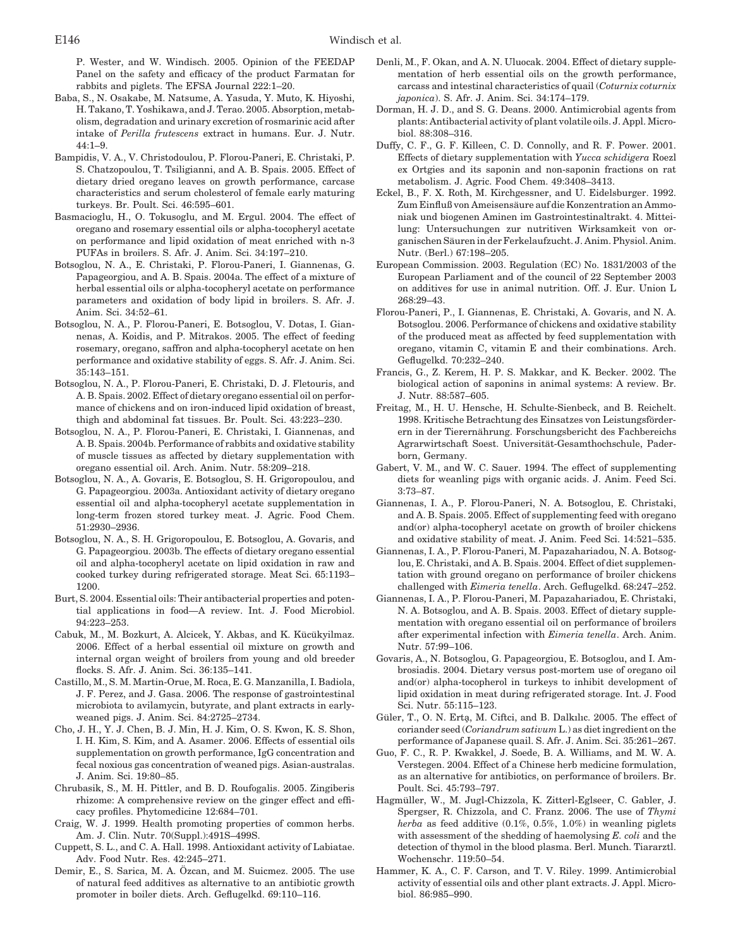P. Wester, and W. Windisch. 2005. Opinion of the FEEDAP Panel on the safety and efficacy of the product Farmatan for rabbits and piglets. The EFSA Journal 222:1–20.

- Baba, S., N. Osakabe, M. Natsume, A. Yasuda, Y. Muto, K. Hiyoshi, H. Takano, T. Yoshikawa, and J. Terao. 2005. Absorption, metabolism, degradation and urinary excretion of rosmarinic acid after intake of *Perilla frutescens* extract in humans. Eur. J. Nutr. 44:1–9.
- Bampidis, V. A., V. Christodoulou, P. Florou-Paneri, E. Christaki, P. S. Chatzopoulou, T. Tsiligianni, and A. B. Spais. 2005. Effect of dietary dried oregano leaves on growth performance, carcase characteristics and serum cholesterol of female early maturing turkeys. Br. Poult. Sci. 46:595–601.
- Basmacioglu, H., O. Tokusoglu, and M. Ergul. 2004. The effect of oregano and rosemary essential oils or alpha-tocopheryl acetate on performance and lipid oxidation of meat enriched with n-3 PUFAs in broilers. S. Afr. J. Anim. Sci. 34:197–210.
- Botsoglou, N. A., E. Christaki, P. Florou-Paneri, I. Giannenas, G. Papageorgiou, and A. B. Spais. 2004a. The effect of a mixture of herbal essential oils or alpha-tocopheryl acetate on performance parameters and oxidation of body lipid in broilers. S. Afr. J. Anim. Sci. 34:52–61.
- Botsoglou, N. A., P. Florou-Paneri, E. Botsoglou, V. Dotas, I. Giannenas, A. Koidis, and P. Mitrakos. 2005. The effect of feeding rosemary, oregano, saffron and alpha-tocopheryl acetate on hen performance and oxidative stability of eggs. S. Afr. J. Anim. Sci. 35:143–151.
- Botsoglou, N. A., P. Florou-Paneri, E. Christaki, D. J. Fletouris, and A. B. Spais. 2002. Effect of dietary oregano essential oil on performance of chickens and on iron-induced lipid oxidation of breast, thigh and abdominal fat tissues. Br. Poult. Sci. 43:223–230.
- Botsoglou, N. A., P. Florou-Paneri, E. Christaki, I. Giannenas, and A. B. Spais. 2004b. Performance of rabbits and oxidative stability of muscle tissues as affected by dietary supplementation with oregano essential oil. Arch. Anim. Nutr. 58:209–218.
- Botsoglou, N. A., A. Govaris, E. Botsoglou, S. H. Grigoropoulou, and G. Papageorgiou. 2003a. Antioxidant activity of dietary oregano essential oil and alpha-tocopheryl acetate supplementation in long-term frozen stored turkey meat. J. Agric. Food Chem. 51:2930–2936.
- Botsoglou, N. A., S. H. Grigoropoulou, E. Botsoglou, A. Govaris, and G. Papageorgiou. 2003b. The effects of dietary oregano essential oil and alpha-tocopheryl acetate on lipid oxidation in raw and cooked turkey during refrigerated storage. Meat Sci. 65:1193– 1200.
- Burt, S. 2004. Essential oils: Their antibacterial properties and potential applications in food—A review. Int. J. Food Microbiol. 94:223–253.
- Cabuk, M., M. Bozkurt, A. Alcicek, Y. Akbas, and K. Kücükyilmaz. 2006. Effect of a herbal essential oil mixture on growth and internal organ weight of broilers from young and old breeder flocks. S. Afr. J. Anim. Sci. 36:135–141.
- Castillo, M., S. M. Martin-Orue, M. Roca, E. G. Manzanilla, I. Badiola, J. F. Perez, and J. Gasa. 2006. The response of gastrointestinal microbiota to avilamycin, butyrate, and plant extracts in earlyweaned pigs. J. Anim. Sci. 84:2725–2734.
- Cho, J. H., Y. J. Chen, B. J. Min, H. J. Kim, O. S. Kwon, K. S. Shon, I. H. Kim, S. Kim, and A. Asamer. 2006. Effects of essential oils supplementation on growth performance, IgG concentration and fecal noxious gas concentration of weaned pigs. Asian-australas. J. Anim. Sci. 19:80–85.
- Chrubasik, S., M. H. Pittler, and B. D. Roufogalis. 2005. Zingiberis rhizome: A comprehensive review on the ginger effect and efficacy profiles. Phytomedicine 12:684–701.
- Craig, W. J. 1999. Health promoting properties of common herbs. Am. J. Clin. Nutr. 70(Suppl.):491S–499S.
- Cuppett, S. L., and C. A. Hall. 1998. Antioxidant activity of Labiatae. Adv. Food Nutr. Res. 42:245–271.
- Demir, E., S. Sarica, M. A. Özcan, and M. Suicmez. 2005. The use of natural feed additives as alternative to an antibiotic growth promoter in boiler diets. Arch. Geflugelkd. 69:110–116.
- Denli, M., F. Okan, and A. N. Uluocak. 2004. Effect of dietary supplementation of herb essential oils on the growth performance, carcass and intestinal characteristics of quail (*Coturnix coturnix japonica*). S. Afr. J. Anim. Sci. 34:174–179.
- Dorman, H. J. D., and S. G. Deans. 2000. Antimicrobial agents from plants: Antibacterial activity of plant volatile oils. J. Appl. Microbiol. 88:308–316.
- Duffy, C. F., G. F. Killeen, C. D. Connolly, and R. F. Power. 2001. Effects of dietary supplementation with *Yucca schidigera* Roezl ex Ortgies and its saponin and non-saponin fractions on rat metabolism. J. Agric. Food Chem. 49:3408–3413.
- Eckel, B., F. X. Roth, M. Kirchgessner, and U. Eidelsburger. 1992. Zum Einfluß von Ameisensäure auf die Konzentration an Ammoniak und biogenen Aminen im Gastrointestinaltrakt. 4. Mitteilung: Untersuchungen zur nutritiven Wirksamkeit von organischen Säuren in der Ferkelaufzucht. J. Anim. Physiol. Anim. Nutr. (Berl.) 67:198–205.
- European Commission. 2003. Regulation (EC) No. 1831/2003 of the European Parliament and of the council of 22 September 2003 on additives for use in animal nutrition. Off. J. Eur. Union L 268:29–43.
- Florou-Paneri, P., I. Giannenas, E. Christaki, A. Govaris, and N. A. Botsoglou. 2006. Performance of chickens and oxidative stability of the produced meat as affected by feed supplementation with oregano, vitamin C, vitamin E and their combinations. Arch. Geflugelkd. 70:232–240.
- Francis, G., Z. Kerem, H. P. S. Makkar, and K. Becker. 2002. The biological action of saponins in animal systems: A review. Br. J. Nutr. 88:587–605.
- Freitag, M., H. U. Hensche, H. Schulte-Sienbeck, and B. Reichelt. 1998. Kritische Betrachtung des Einsatzes von Leistungsförderern in der Tierernährung. Forschungsbericht des Fachbereichs Agrarwirtschaft Soest. Universität-Gesamthochschule, Paderborn, Germany.
- Gabert, V. M., and W. C. Sauer. 1994. The effect of supplementing diets for weanling pigs with organic acids. J. Anim. Feed Sci. 3:73–87.
- Giannenas, I. A., P. Florou-Paneri, N. A. Botsoglou, E. Christaki, and A. B. Spais. 2005. Effect of supplementing feed with oregano and(or) alpha-tocopheryl acetate on growth of broiler chickens and oxidative stability of meat. J. Anim. Feed Sci. 14:521–535.
- Giannenas, I. A., P. Florou-Paneri, M. Papazahariadou, N. A. Botsoglou, E. Christaki, and A. B. Spais. 2004. Effect of diet supplementation with ground oregano on performance of broiler chickens challenged with *Eimeria tenella*. Arch. Geflugelkd. 68:247–252.
- Giannenas, I. A., P. Florou-Paneri, M. Papazahariadou, E. Christaki, N. A. Botsoglou, and A. B. Spais. 2003. Effect of dietary supplementation with oregano essential oil on performance of broilers after experimental infection with *Eimeria tenella*. Arch. Anim. Nutr. 57:99–106.
- Govaris, A., N. Botsoglou, G. Papageorgiou, E. Botsoglou, and I. Ambrosiadis. 2004. Dietary versus post-mortem use of oregano oil and(or) alpha-tocopherol in turkeys to inhibit development of lipid oxidation in meat during refrigerated storage. Int. J. Food Sci. Nutr. 55:115–123.
- Güler, T., O. N. Erta, M. Ciftci, and B. Dalkılıc. 2005. The effect of coriander seed (*Coriandrum sativum* L.) as diet ingredient on the performance of Japanese quail. S. Afr. J. Anim. Sci. 35:261–267.
- Guo, F. C., R. P. Kwakkel, J. Soede, B. A. Williams, and M. W. A. Verstegen. 2004. Effect of a Chinese herb medicine formulation, as an alternative for antibiotics, on performance of broilers. Br. Poult. Sci. 45:793–797.
- Hagmüller, W., M. Jugl-Chizzola, K. Zitterl-Eglseer, C. Gabler, J. Spergser, R. Chizzola, and C. Franz. 2006. The use of *Thymi herba* as feed additive (0.1%, 0.5%, 1.0%) in weanling piglets with assessment of the shedding of haemolysing *E. coli* and the detection of thymol in the blood plasma. Berl. Munch. Tiararztl. Wochenschr. 119:50–54.
- Hammer, K. A., C. F. Carson, and T. V. Riley. 1999. Antimicrobial activity of essential oils and other plant extracts. J. Appl. Microbiol. 86:985–990.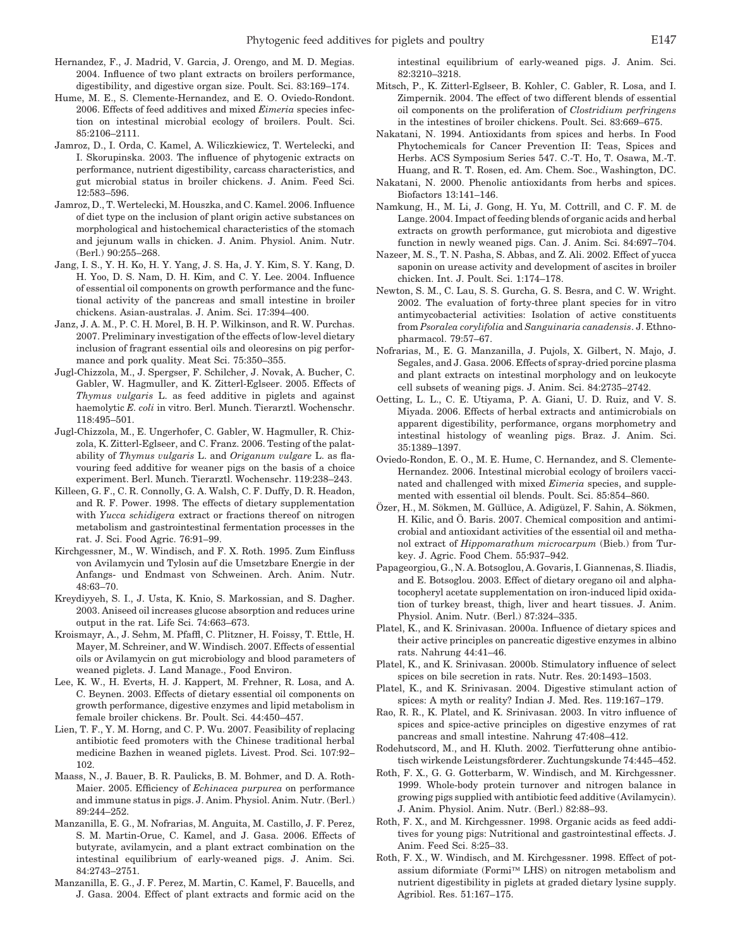- Hernandez, F., J. Madrid, V. Garcia, J. Orengo, and M. D. Megias. 2004. Influence of two plant extracts on broilers performance, digestibility, and digestive organ size. Poult. Sci. 83:169–174.
- Hume, M. E., S. Clemente-Hernandez, and E. O. Oviedo-Rondont. 2006. Effects of feed additives and mixed *Eimeria* species infection on intestinal microbial ecology of broilers. Poult. Sci. 85:2106–2111.
- Jamroz, D., I. Orda, C. Kamel, A. Wiliczkiewicz, T. Wertelecki, and I. Skorupinska. 2003. The influence of phytogenic extracts on performance, nutrient digestibility, carcass characteristics, and gut microbial status in broiler chickens. J. Anim. Feed Sci. 12:583–596.
- Jamroz, D., T. Wertelecki, M. Houszka, and C. Kamel. 2006. Influence of diet type on the inclusion of plant origin active substances on morphological and histochemical characteristics of the stomach and jejunum walls in chicken. J. Anim. Physiol. Anim. Nutr. (Berl.) 90:255–268.
- Jang, I. S., Y. H. Ko, H. Y. Yang, J. S. Ha, J. Y. Kim, S. Y. Kang, D. H. Yoo, D. S. Nam, D. H. Kim, and C. Y. Lee. 2004. Influence of essential oil components on growth performance and the functional activity of the pancreas and small intestine in broiler chickens. Asian-australas. J. Anim. Sci. 17:394–400.
- Janz, J. A. M., P. C. H. Morel, B. H. P. Wilkinson, and R. W. Purchas. 2007. Preliminary investigation of the effects of low-level dietary inclusion of fragrant essential oils and oleoresins on pig performance and pork quality. Meat Sci. 75:350–355.
- Jugl-Chizzola, M., J. Spergser, F. Schilcher, J. Novak, A. Bucher, C. Gabler, W. Hagmuller, and K. Zitterl-Eglseer. 2005. Effects of *Thymus vulgaris* L. as feed additive in piglets and against haemolytic *E. coli* in vitro. Berl. Munch. Tierarztl. Wochenschr. 118:495–501.
- Jugl-Chizzola, M., E. Ungerhofer, C. Gabler, W. Hagmuller, R. Chizzola, K. Zitterl-Eglseer, and C. Franz. 2006. Testing of the palatability of *Thymus vulgaris* L. and *Origanum vulgare* L. as flavouring feed additive for weaner pigs on the basis of a choice experiment. Berl. Munch. Tierarztl. Wochenschr. 119:238–243.
- Killeen, G. F., C. R. Connolly, G. A. Walsh, C. F. Duffy, D. R. Headon, and R. F. Power. 1998. The effects of dietary supplementation with *Yucca schidigera* extract or fractions thereof on nitrogen metabolism and gastrointestinal fermentation processes in the rat. J. Sci. Food Agric. 76:91–99.
- Kirchgessner, M., W. Windisch, and F. X. Roth. 1995. Zum Einfluss von Avilamycin und Tylosin auf die Umsetzbare Energie in der Anfangs- und Endmast von Schweinen. Arch. Anim. Nutr. 48:63–70.
- Kreydiyyeh, S. I., J. Usta, K. Knio, S. Markossian, and S. Dagher. 2003. Aniseed oil increases glucose absorption and reduces urine output in the rat. Life Sci. 74:663–673.
- Kroismayr, A., J. Sehm, M. Pfaffl, C. Plitzner, H. Foissy, T. Ettle, H. Mayer, M. Schreiner, and W. Windisch. 2007. Effects of essential oils or Avilamycin on gut microbiology and blood parameters of weaned piglets. J. Land Manage., Food Environ.
- Lee, K. W., H. Everts, H. J. Kappert, M. Frehner, R. Losa, and A. C. Beynen. 2003. Effects of dietary essential oil components on growth performance, digestive enzymes and lipid metabolism in female broiler chickens. Br. Poult. Sci. 44:450–457.
- Lien, T. F., Y. M. Horng, and C. P. Wu. 2007. Feasibility of replacing antibiotic feed promoters with the Chinese traditional herbal medicine Bazhen in weaned piglets. Livest. Prod. Sci. 107:92– 102.
- Maass, N., J. Bauer, B. R. Paulicks, B. M. Bohmer, and D. A. Roth-Maier. 2005. Efficiency of *Echinacea purpurea* on performance and immune status in pigs. J. Anim. Physiol. Anim. Nutr. (Berl.) 89:244–252.
- Manzanilla, E. G., M. Nofrarias, M. Anguita, M. Castillo, J. F. Perez, S. M. Martin-Orue, C. Kamel, and J. Gasa. 2006. Effects of butyrate, avilamycin, and a plant extract combination on the intestinal equilibrium of early-weaned pigs. J. Anim. Sci. 84:2743–2751.
- Manzanilla, E. G., J. F. Perez, M. Martin, C. Kamel, F. Baucells, and J. Gasa. 2004. Effect of plant extracts and formic acid on the

intestinal equilibrium of early-weaned pigs. J. Anim. Sci. 82:3210–3218.

- Mitsch, P., K. Zitterl-Eglseer, B. Kohler, C. Gabler, R. Losa, and I. Zimpernik. 2004. The effect of two different blends of essential oil components on the proliferation of *Clostridium perfringens* in the intestines of broiler chickens. Poult. Sci. 83:669–675.
- Nakatani, N. 1994. Antioxidants from spices and herbs. In Food Phytochemicals for Cancer Prevention II: Teas, Spices and Herbs. ACS Symposium Series 547. C.-T. Ho, T. Osawa, M.-T. Huang, and R. T. Rosen, ed. Am. Chem. Soc., Washington, DC.
- Nakatani, N. 2000. Phenolic antioxidants from herbs and spices. Biofactors 13:141–146.
- Namkung, H., M. Li, J. Gong, H. Yu, M. Cottrill, and C. F. M. de Lange. 2004. Impact of feeding blends of organic acids and herbal extracts on growth performance, gut microbiota and digestive function in newly weaned pigs. Can. J. Anim. Sci. 84:697–704.
- Nazeer, M. S., T. N. Pasha, S. Abbas, and Z. Ali. 2002. Effect of yucca saponin on urease activity and development of ascites in broiler chicken. Int. J. Poult. Sci. 1:174–178.
- Newton, S. M., C. Lau, S. S. Gurcha, G. S. Besra, and C. W. Wright. 2002. The evaluation of forty-three plant species for in vitro antimycobacterial activities: Isolation of active constituents from *Psoralea corylifolia* and *Sanguinaria canadensis*. J. Ethnopharmacol. 79:57–67.
- Nofrarias, M., E. G. Manzanilla, J. Pujols, X. Gilbert, N. Majo, J. Segales, and J. Gasa. 2006. Effects of spray-dried porcine plasma and plant extracts on intestinal morphology and on leukocyte cell subsets of weaning pigs. J. Anim. Sci. 84:2735–2742.
- Oetting, L. L., C. E. Utiyama, P. A. Giani, U. D. Ruiz, and V. S. Miyada. 2006. Effects of herbal extracts and antimicrobials on apparent digestibility, performance, organs morphometry and intestinal histology of weanling pigs. Braz. J. Anim. Sci. 35:1389–1397.
- Oviedo-Rondon, E. O., M. E. Hume, C. Hernandez, and S. Clemente-Hernandez. 2006. Intestinal microbial ecology of broilers vaccinated and challenged with mixed *Eimeria* species, and supplemented with essential oil blends. Poult. Sci. 85:854–860.
- Özer, H., M. Sökmen, M. Güllüce, A. Adigüzel, F. Sahin, A. Sökmen, H. Kilic, and Ö. Baris. 2007. Chemical composition and antimicrobial and antioxidant activities of the essential oil and methanol extract of *Hippomarathum microcarpum* (Bieb.) from Turkey. J. Agric. Food Chem. 55:937–942.
- Papageorgiou, G., N. A. Botsoglou, A. Govaris, I. Giannenas, S. Iliadis, and E. Botsoglou. 2003. Effect of dietary oregano oil and alphatocopheryl acetate supplementation on iron-induced lipid oxidation of turkey breast, thigh, liver and heart tissues. J. Anim. Physiol. Anim. Nutr. (Berl.) 87:324–335.
- Platel, K., and K. Srinivasan. 2000a. Influence of dietary spices and their active principles on pancreatic digestive enzymes in albino rats. Nahrung 44:41–46.
- Platel, K., and K. Srinivasan. 2000b. Stimulatory influence of select spices on bile secretion in rats. Nutr. Res. 20:1493–1503.
- Platel, K., and K. Srinivasan. 2004. Digestive stimulant action of spices: A myth or reality? Indian J. Med. Res. 119:167–179.
- Rao, R. R., K. Platel, and K. Srinivasan. 2003. In vitro influence of spices and spice-active principles on digestive enzymes of rat pancreas and small intestine. Nahrung 47:408–412.
- Rodehutscord, M., and H. Kluth. 2002. Tierfütterung ohne antibiotisch wirkende Leistungsförderer. Zuchtungskunde 74:445-452.
- Roth, F. X., G. G. Gotterbarm, W. Windisch, and M. Kirchgessner. 1999. Whole-body protein turnover and nitrogen balance in growing pigs supplied with antibiotic feed additive (Avilamycin). J. Anim. Physiol. Anim. Nutr. (Berl.) 82:88–93.
- Roth, F. X., and M. Kirchgessner. 1998. Organic acids as feed additives for young pigs: Nutritional and gastrointestinal effects. J. Anim. Feed Sci. 8:25–33.
- Roth, F. X., W. Windisch, and M. Kirchgessner. 1998. Effect of potassium diformiate (Formi™ LHS) on nitrogen metabolism and nutrient digestibility in piglets at graded dietary lysine supply. Agribiol. Res. 51:167–175.